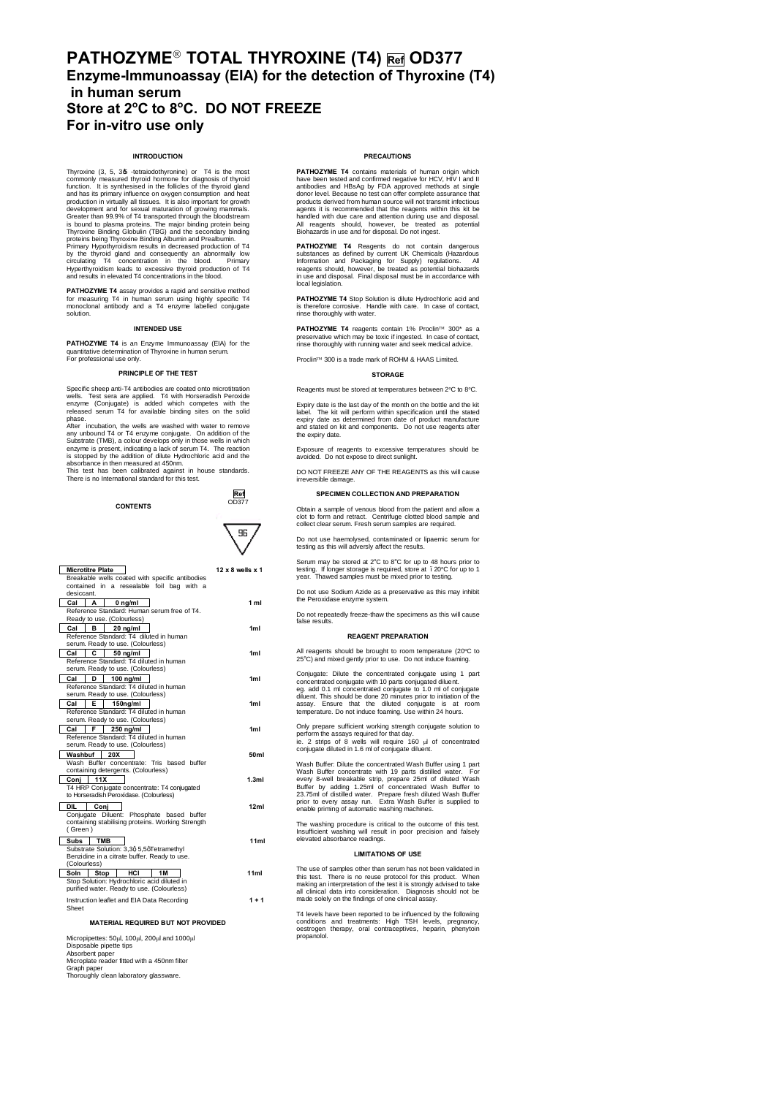## **PATHOZYME**" **TOTAL THYROXINE (T4) Ref OD377 Enzyme-Immunoassay (EIA) for the detection of Thyroxine (T4) in human serum Store at 2<sup>o</sup> C to 8<sup>o</sup> C. DO NOT FREEZE For in-vitro use only**

## **INTRODUCTION**

Thyroxine (3, 5, 3, 3, -tetraiodothyronine) or T4 is the most<br>commonly measured thyroid homone for diagnosis of thyroid<br>function. It is synthesised in the follicles of the thyroid gland<br>and has its primary influence on oxy development and for sexual maturation of growing mammals. Greater than 99.9% of T4 transported through the bloodstream is bound to plasma proteins. The major binding protein being Thyroxine Binding Globulin (TBG) and the secondary binding proteins being Thyroxine Binding Albumin and Prealbumin. Primary Hypothyroidism results in decreased production of T4 by the thyroid gland and consequently an abnormally low circulating T4 concentration in the blood. Primary Hyperthyroidism leads to excessive thyroid production of T4 and results in elevated T4 concentrations in the blood.

**PATHOZYME T4** assay provides a rapid and sensitive method for measuring T4 in human serum using highly specific T4 monoclonal antibody and a T4 enzyme labelled conjugate solution.

#### **INTENDED USE**

**PATHOZYME T4** is an Enzyme Immunoassay (EIA) for the quantitative determination of Thyroxine in human serum. For professional use only.

#### **PRINCIPLE OF THE TEST**

Specific sheep anti-T4 antibodies are coated onto microtitration<br>wells. Test sera are applied. T4 with Horseradish Peroxide<br>enzyme (Conjugate) is added which competes with the<br>released serum T4 for available binding sites phase. After incubation, the wells are washed with water to remove

any unbound T4 or T4 enzyme conjugate. On addition of the charge systems is present, indicating a lack of serum T4. The reaction is stopped by the addition of ditiue Hydrochloric and a due is absorbance in then measured at



| <b>Microtitre Plate</b>                                                    | $12 \times 8$ wells $\times 1$ |
|----------------------------------------------------------------------------|--------------------------------|
| Breakable wells coated with specific antibodies                            |                                |
| contained in a resealable foil bag with a<br>desiccant.                    |                                |
| Cal<br>А                                                                   | 1 <sub>m1</sub>                |
| $0$ ng/ml<br>Reference Standard: Human serum free of T4.                   |                                |
| Ready to use. (Colourless)                                                 |                                |
| Cal<br>в<br>20 na/ml                                                       | 1 <sub>ml</sub>                |
| Reference Standard: T4 diluted in human                                    |                                |
| serum. Ready to use. (Colourless)                                          |                                |
| Cal<br>c<br>50 na/ml                                                       | 1 <sub>m1</sub>                |
| Reference Standard: T4 diluted in human                                    |                                |
| serum. Ready to use. (Colourless)                                          |                                |
| Cal<br>D<br>$100 \text{ na/ml}$                                            | 1 <sub>m1</sub>                |
| Reference Standard: T4 diluted in human                                    |                                |
| serum. Ready to use. (Colourless)                                          |                                |
| Cal<br>Е<br>150ng/ml                                                       | 1ml                            |
| Reference Standard: T4 diluted in human                                    |                                |
| serum. Ready to use. (Colourless)                                          |                                |
| F<br>$250$ ng/ml<br>Cal                                                    | 1ml                            |
| Reference Standard: T4 diluted in human                                    |                                |
| serum. Ready to use. (Colourless)                                          |                                |
| 20X<br>Washbuf                                                             | 50ml                           |
| Wash Buffer concentrate: Tris based buffer                                 |                                |
| containing detergents. (Colourless)                                        |                                |
| 11X<br>Conj                                                                | 1.3ml                          |
| T4 HRP Conjugate concentrate: T4 conjugated                                |                                |
| to Horseradish Peroxidase. (Colourless)                                    |                                |
| <b>DIL</b><br>Coni                                                         | 12ml                           |
| Conjugate Diluent: Phosphate based buffer                                  |                                |
| containing stabilising proteins. Working Strength                          |                                |
| (Green)                                                                    |                                |
| <b>TMB</b><br>Subs                                                         | 11 <sub>m</sub>                |
| Substrate Solution: 3,3q 5,5qTetramethyl                                   |                                |
| Benzidine in a citrate buffer. Ready to use.<br>(Colourless)               |                                |
|                                                                            |                                |
| HCI<br>  Stop<br>1M<br>Soln<br>Stop Solution: Hydrochloric acid diluted in | 11ml                           |
| purified water. Ready to use. (Colourless)                                 |                                |
|                                                                            |                                |
| Instruction leaflet and EIA Data Recording                                 | $1 + 1$                        |
| Sheet                                                                      |                                |
| MATERIAL REQUIRED BUT NOT PROVIDED                                         |                                |
|                                                                            |                                |

Micropipettes: 50ul, 100ul, 200ul and 1000ul Disposable pipette tips Absorbent paper Microplate reader fitted with a 450nm filter Graph paper Thoroughly clean laboratory glassware.

#### **PRECAUTIONS**

**PATHOZYME T4** contains materials of human origin which<br>have been tested and confirmed negative for HCV, HIV I and II<br>antibodies and HBsAg by FDA approved methods at single<br>donor level. Because no test can offer complete a agents it is recommended that the reagents within this kit be<br>handled with due care and attention during use and disposal.<br>All reagents should, however, be treated as potential<br>Biohazards in use and for disposal. Do not in

**PATHOZYME T4** Reagents do not contain dangerous substances as defined by current UK Chemicals (Hazardous<br>Information and Packaging for Supply) regulations. All<br>reagents should, however, be treated as potential biohazards<br>in use and disposal. Final disposal must be in ac local legislation.

**PATHOZYME T4** Stop Solution is dilute Hydrochloric acid and is therefore corrosive. Handle with care. In case of contact, is therefore corrosive. Ha

**PATHOZYME T4** reagents contain 1% Proclin™ 300\* as a preservative which may be toxic if ingested. In case of contact, rinse thoroughly with running water and seek medical advice.

Proclin™ 300 is a trade mark of ROHM & HAAS Limited.

#### **STORAGE**

Reagents must be stored at temperatures between 2°C to 8°C.

Expiry date is the last day of the month on the bottle and the kit<br>label. The kit will perform within specification until the stated<br>expiry date as determined from date of product manufacture<br>and stated on kit and componen the expiry date.

Exposure of reagents to excessive temperatures should be avoided. Do not expose to direct sunlight.

DO NOT FREEZE ANY OF THE REAGENTS as this will cause irreversible damage.

## **SPECIMEN COLLECTION AND PREPARATION**

Obtain a sample of venous blood from the patient and allow a clot to form and retract. Centrifuge clotted blood sample and collect clear serum. Fresh serum samples are required.

Do not use haemolysed, contaminated or lipaemic serum for testing as this will adversly affect the results.

Serum may be stored at 2°C to 8°C for up to 48 hours prior to testing. If longer storage is required, store at . 20°C f<br>year. Thawed samples must be mixed prior to testing. . 20°C for up to

Do not use Sodium Azide as a preservative as this may inhibit the Peroxidase enzyme system.

Do not repeatedly freeze-thaw the specimens as this will cause false results.

## **REAGENT PREPARATION**

All reagents should be brought to room temperature (20°C to 25°C) and mixed gently prior to use. Do not induce foaming.

Conjugate: Dilute the concentrated conjugate using 1 part concentrated conjugate with 10 parts conjugated diluent. eg. add 0.1 ml concentrated conjugate to 1.0 ml of conjugate diluent. This should be done 20 minutes prior to initiation of the assay. Ensure that the diluted conjugate is at room temperature. Do not induce foaming. Use within 24 hours.

Only prepare sufficient working strength conjugate solution to<br>perform the assays required for that day.<br>ie. 2 strips of 8 wells will require 160  $\mu$  of concentrated<br>conjugate diluted in 1.6 ml of conjugate diluent.

Wash Buffer: Dilute the concentrated Wash Buffer using 1 part Wash Buffer concentrate with 19 parts distilled water. For every 8-well breakable strip, prepare 25ml of diluted Wash<br>Buffer by adding 1.25ml of concentrated Wash Buffer to<br>23.75ml of distilled water. Prepare fresh diluted Wash Buffer to<br>prior to every assay run. Extra Wash Buffer enable priming of automatic washing machines.

The washing procedure is critical to the outcome of this test. Insufficient washing will result in poor precision and falsely elevated absorbance readings.

#### **LIMITATIONS OF USE**

The use of samples other than serum has not been validated in<br>this test. There is no reuse protocol for this product. When<br>making an interpretation of the test it is strongly advised to take<br>all clinical data into consider

T4 levels have been reported to be influenced by the following conditions and treatments: High TSH levels, pregnancy, oestrogen therapy, oral contraceptives, heparin, phenytoin propanolol.